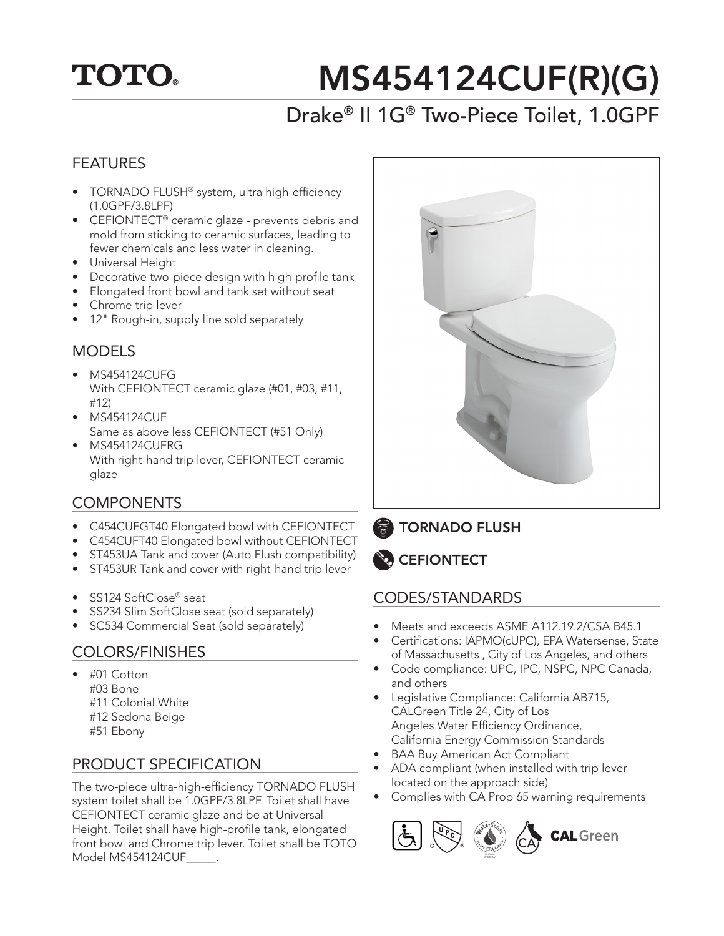## **TOTO.**

# MS454124CUF(R)(G)

### Drake® II 1G® Two-Piece Toilet, 1.0GPF

#### FEATURES

- TORNADO FLUSH® system, ultra high-efficiency (1.0GPF/3.8LPF)
- CEFIONTECT<sup>®</sup> ceramic glaze prevents debris and mold from sticking to ceramic surfaces, leading to fewer chemicals and less water in cleaning.
- Universal Height
- Decorative two-piece design with high-profile tank
- Elongated front bowl and tank set without seat
- Chrome trip lever
- 12" Rough-in, supply line sold separately

#### **MODELS**

- MS454124CUFG With CEFIONTECT ceramic glaze (#01, #03, #11, #12)
- MS454124CUF Same as above less CEFIONTECT (#51 Only)
- MS454124CUFRG With right-hand trip lever, CEFIONTECT ceramic glaze

#### **COMPONENTS**

- C454CUFGT40 Elongated bowl with CEFIONTECT
- C454CUFT40 Elongated bowl without CEFIONTECT
- ST453UA Tank and cover (Auto Flush compatibility)
- ST453UR Tank and cover with right-hand trip lever
- SS124 SoftClose® seat
- SS234 Slim SoftClose seat (sold separately)
- SC534 Commercial Seat (sold separately)

#### COLORS/FINISHES

- #01 Cotton #03 Bone #11 Colonial White
	- #12 Sedona Beige
	- #51 Ebony
	-

#### PRODUCT SPECIFICATION

The two-piece ultra-high-efficiency TORNADO FLUSH system toilet shall be 1.0GPF/3.8LPF. Toilet shall have CEFIONTECT ceramic glaze and be at Universal Height. Toilet shall have high-profile tank, elongated front bowl and Chrome trip lever. Toilet shall be TOTO Model MS454124CUF\_\_\_\_\_.



TORNADO FLUSH



#### CODES/STANDARDS

- Meets and exceeds ASME A112.19.2/CSA B45.1
- Certifications: IAPMO(cUPC), EPA Watersense, State of Massachusetts , City of Los Angeles, and others
- Code compliance: UPC, IPC, NSPC, NPC Canada, and others
- Legislative Compliance: California AB715, CALGreen Title 24, City of Los Angeles Water Efficiency Ordinance, California Energy Commission Standards
- **BAA Buy American Act Compliant**
- ADA compliant (when installed with trip lever located on the approach side)
- Complies with CA Prop 65 warning requirements